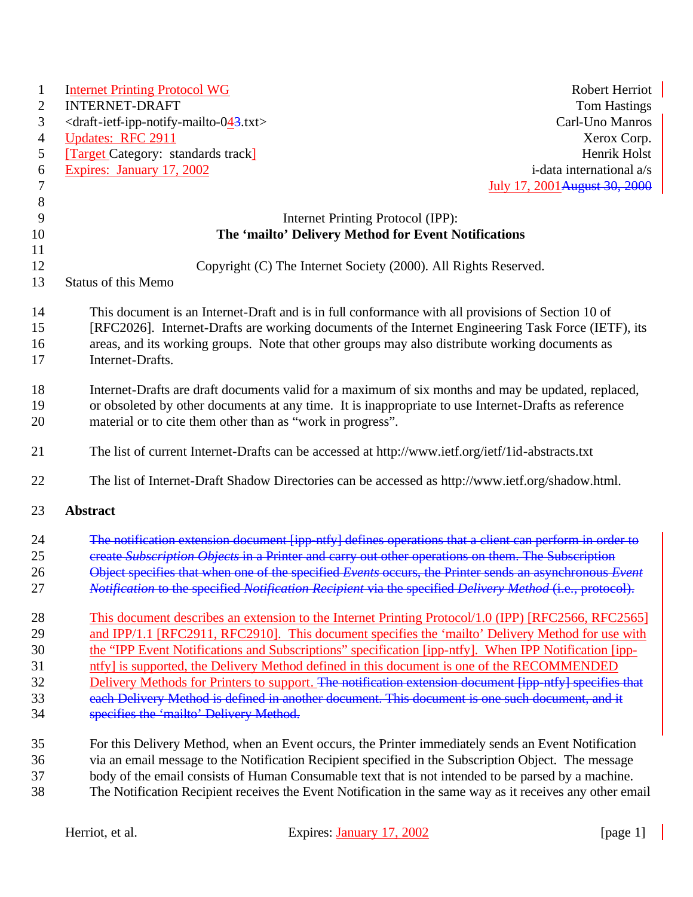| $\mathbf{1}$   | <b>Robert Herriot</b><br><b>Internet Printing Protocol WG</b>                                                                                                                                                                                                                                               |  |
|----------------|-------------------------------------------------------------------------------------------------------------------------------------------------------------------------------------------------------------------------------------------------------------------------------------------------------------|--|
| $\overline{2}$ | <b>INTERNET-DRAFT</b><br><b>Tom Hastings</b>                                                                                                                                                                                                                                                                |  |
| 3              | <draft-ietf-ipp-notify-mailto-043.txt><br/>Carl-Uno Manros</draft-ietf-ipp-notify-mailto-043.txt>                                                                                                                                                                                                           |  |
| $\overline{4}$ | <b>Updates: RFC 2911</b><br>Xerox Corp.                                                                                                                                                                                                                                                                     |  |
| 5              | [Target Category: standards track]<br>Henrik Holst                                                                                                                                                                                                                                                          |  |
| 6              | Expires: January 17, 2002<br>i-data international a/s                                                                                                                                                                                                                                                       |  |
| $\tau$         | July 17, 2001 August 30, 2000                                                                                                                                                                                                                                                                               |  |
| $8\phantom{1}$ |                                                                                                                                                                                                                                                                                                             |  |
| 9              | Internet Printing Protocol (IPP):                                                                                                                                                                                                                                                                           |  |
| 10             | The 'mailto' Delivery Method for Event Notifications                                                                                                                                                                                                                                                        |  |
| 11             |                                                                                                                                                                                                                                                                                                             |  |
| 12             | Copyright (C) The Internet Society (2000). All Rights Reserved.                                                                                                                                                                                                                                             |  |
| 13             | Status of this Memo                                                                                                                                                                                                                                                                                         |  |
|                |                                                                                                                                                                                                                                                                                                             |  |
| 14<br>15<br>16 | This document is an Internet-Draft and is in full conformance with all provisions of Section 10 of<br>[RFC2026]. Internet-Drafts are working documents of the Internet Engineering Task Force (IETF), its<br>areas, and its working groups. Note that other groups may also distribute working documents as |  |
| 17             | Internet-Drafts.                                                                                                                                                                                                                                                                                            |  |
|                |                                                                                                                                                                                                                                                                                                             |  |
| 18             | Internet-Drafts are draft documents valid for a maximum of six months and may be updated, replaced,                                                                                                                                                                                                         |  |
| 19             | or obsoleted by other documents at any time. It is inappropriate to use Internet-Drafts as reference                                                                                                                                                                                                        |  |
| 20             | material or to cite them other than as "work in progress".                                                                                                                                                                                                                                                  |  |
| 21             | The list of current Internet-Drafts can be accessed at http://www.ietf.org/ietf/1id-abstracts.txt                                                                                                                                                                                                           |  |
| 22             | The list of Internet-Draft Shadow Directories can be accessed as http://www.ietf.org/shadow.html.                                                                                                                                                                                                           |  |
| 23             | <b>Abstract</b>                                                                                                                                                                                                                                                                                             |  |
| 24             | The notification extension document [ipp-ntfy] defines operations that a client can perform in order to                                                                                                                                                                                                     |  |
| 25             | ereate Subscription Objects in a Printer and carry out other operations on them. The Subscription                                                                                                                                                                                                           |  |
| 26             | Object specifies that when one of the specified Events occurs, the Printer sends an asynchronous Event                                                                                                                                                                                                      |  |
| 27             | <i>Notification</i> to the specified <i>Notification Recipient</i> via the specified <i>Delivery Method</i> (i.e., protocol).                                                                                                                                                                               |  |
|                |                                                                                                                                                                                                                                                                                                             |  |
| 28             | This document describes an extension to the Internet Printing Protocol/1.0 (IPP) [RFC2566, RFC2565]                                                                                                                                                                                                         |  |
| 29             | and IPP/1.1 [RFC2911, RFC2910]. This document specifies the 'mailto' Delivery Method for use with                                                                                                                                                                                                           |  |
| 30             | the "IPP Event Notifications and Subscriptions" specification [ipp-ntfy]. When IPP Notification [ipp-                                                                                                                                                                                                       |  |
| 31             | ntfy] is supported, the Delivery Method defined in this document is one of the RECOMMENDED                                                                                                                                                                                                                  |  |
| 32             | Delivery Methods for Printers to support. The notification extension document [ipp-ntfy] specifies that                                                                                                                                                                                                     |  |
| 33             | each Delivery Method is defined in another document. This document is one such document, and it                                                                                                                                                                                                             |  |
| 34             | specifies the 'mailto' Delivery Method.                                                                                                                                                                                                                                                                     |  |
|                |                                                                                                                                                                                                                                                                                                             |  |
| 35             | For this Delivery Method, when an Event occurs, the Printer immediately sends an Event Notification                                                                                                                                                                                                         |  |
| 36             | via an email message to the Notification Recipient specified in the Subscription Object. The message                                                                                                                                                                                                        |  |
| 37             | body of the email consists of Human Consumable text that is not intended to be parsed by a machine.                                                                                                                                                                                                         |  |
| 38             | The Notification Recipient receives the Event Notification in the same way as it receives any other email                                                                                                                                                                                                   |  |
|                |                                                                                                                                                                                                                                                                                                             |  |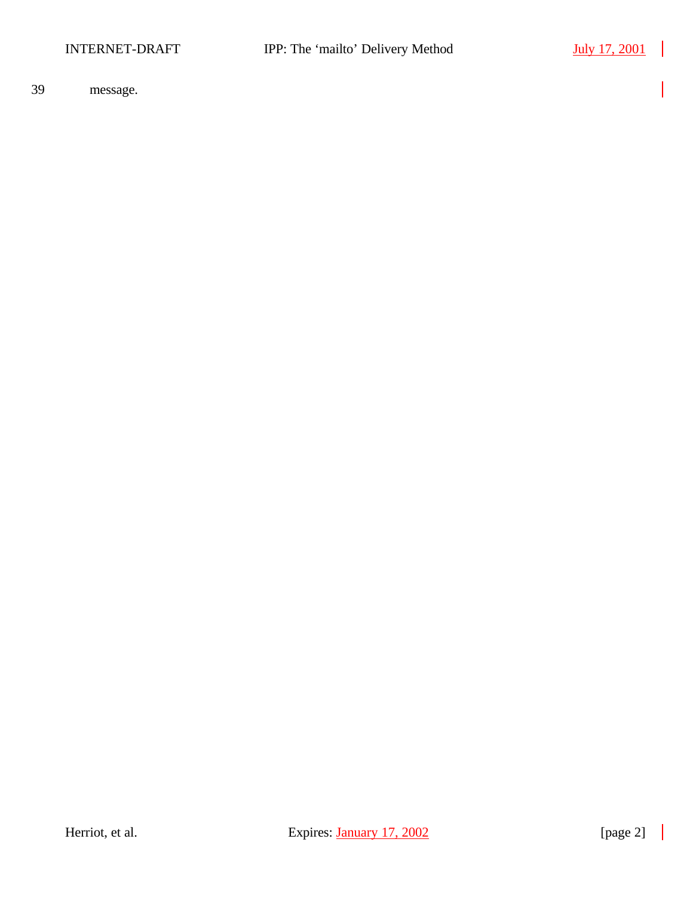$\mathcal{L}$ 

39 message.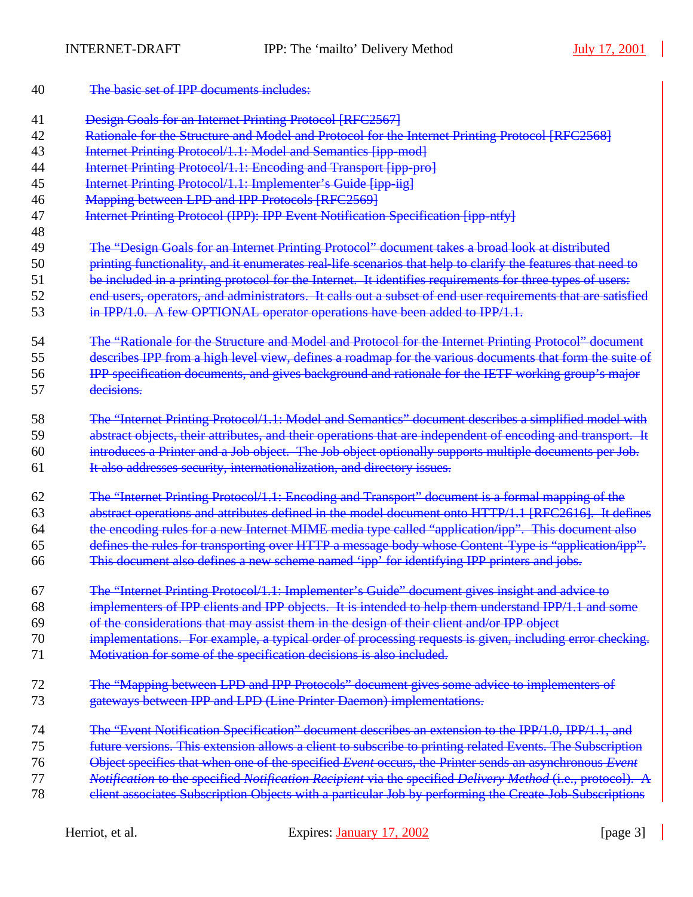| 40 | The basic set of IPP documents includes:                                                                     |
|----|--------------------------------------------------------------------------------------------------------------|
| 41 | <b>Design Goals for an Internet Printing Protocol [RFC2567]</b>                                              |
| 42 | Rationale for the Structure and Model and Protocol for the Internet Printing Protocol [RFC2568]              |
| 43 | Internet Printing Protocol/1.1: Model and Semantics [ipp-mod]                                                |
| 44 | Internet Printing Protocol/1.1: Encoding and Transport [ipp-pro]                                             |
| 45 | Internet Printing Protocol/1.1: Implementer's Guide [ipp-iig]                                                |
| 46 | Mapping between LPD and IPP Protocols [RFC2569]                                                              |
| 47 | Internet Printing Protocol (IPP): IPP Event Notification Specification [ipp-ntfy]                            |
| 48 |                                                                                                              |
| 49 | The "Design Goals for an Internet Printing Protocol" document takes a broad look at distributed              |
| 50 | printing functionality, and it enumerates real-life scenarios that help to clarify the features that need to |
| 51 | be included in a printing protocol for the Internet. It identifies requirements for three types of users:    |
| 52 | end users, operators, and administrators. It calls out a subset of end user requirements that are satisfied  |
| 53 | in IPP/1.0. A few OPTIONAL operator operations have been added to IPP/1.1.                                   |
| 54 | The "Rationale for the Structure and Model and Protocol for the Internet Printing Protocol" document         |
| 55 | describes IPP from a high level view, defines a roadmap for the various documents that form the suite of     |
| 56 | IPP specification documents, and gives background and rationale for the IETF working group's major           |
| 57 | decisions.                                                                                                   |
| 58 | The "Internet Printing Protocol/1.1: Model and Semantics" document describes a simplified model with         |
| 59 | abstract objects, their attributes, and their operations that are independent of encoding and transport. It  |
| 60 | introduces a Printer and a Job object. The Job object optionally supports multiple documents per Job.        |
| 61 | It also addresses security, internationalization, and directory issues.                                      |
| 62 | The "Internet Printing Protocol/1.1: Encoding and Transport" document is a formal mapping of the             |
| 63 | abstract operations and attributes defined in the model document onto HTTP/1.1 [RFC2616]. It defines         |
| 64 | the encoding rules for a new Internet MIME media type called "application/ipp". This document also           |
| 65 | defines the rules for transporting over HTTP a message body whose Content-Type is "application/ipp".         |
| 66 | This document also defines a new scheme named 'ipp' for identifying IPP printers and jobs.                   |
| 67 | The "Internet Printing Protocol/1.1: Implementer's Guide" document gives insight and advice to               |
| 68 | implementers of IPP clients and IPP objects. It is intended to help them understand IPP/1.1 and some         |
| 69 | of the considerations that may assist them in the design of their client and/or IPP object                   |
| 70 | implementations. For example, a typical order of processing requests is given, including error checking.     |
| 71 | Motivation for some of the specification decisions is also included.                                         |
| 72 | The "Mapping between LPD and IPP Protocols" document gives some advice to implementers of                    |
| 73 | gateways between IPP and LPD (Line Printer Daemon) implementations.                                          |
| 74 | The "Event Notification Specification" document describes an extension to the IPP/1.0, IPP/1.1, and          |
| 75 | future versions. This extension allows a client to subscribe to printing related Events. The Subscription    |
| 76 | Object specifies that when one of the specified Event occurs, the Printer sends an asynchronous Event        |
| 77 | Notification to the specified Notification Recipient via the specified Delivery Method (i.e., protocol). A   |
| 78 | elient associates Subscription Objects with a particular Job by performing the Create-Job-Subscriptions      |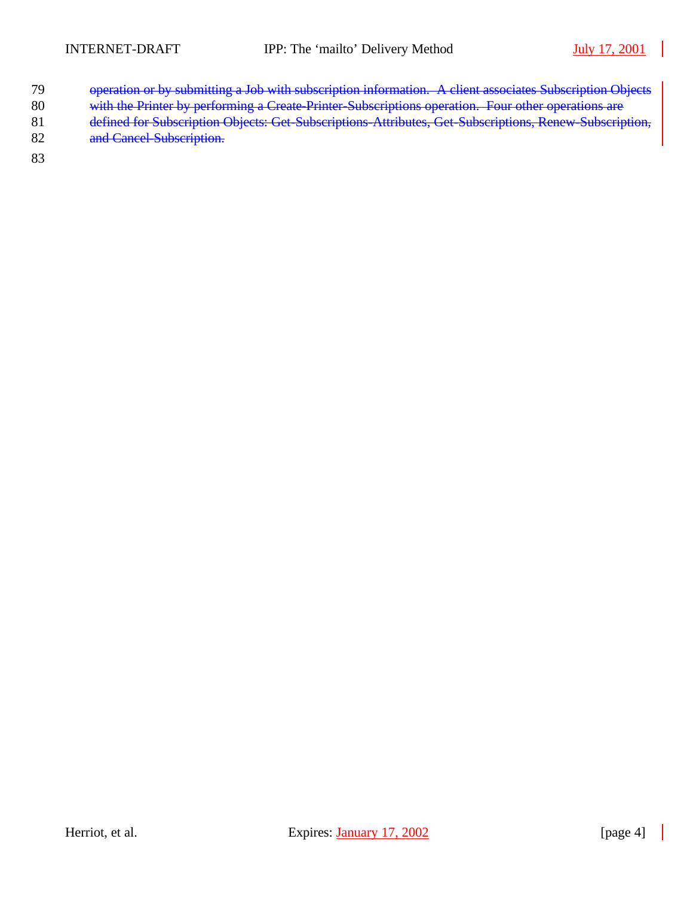- 79 operation or by submitting a Job with subscription information. A client associates Subscription Objects
- 80 with the Printer by performing a Create-Printer-Subscriptions operation. Four other operations are
- 81 defined for Subscription Objects: Get-Subscriptions-Attributes, Get-Subscriptions, Renew-Subscription,
- 82 and Cancel Subscription.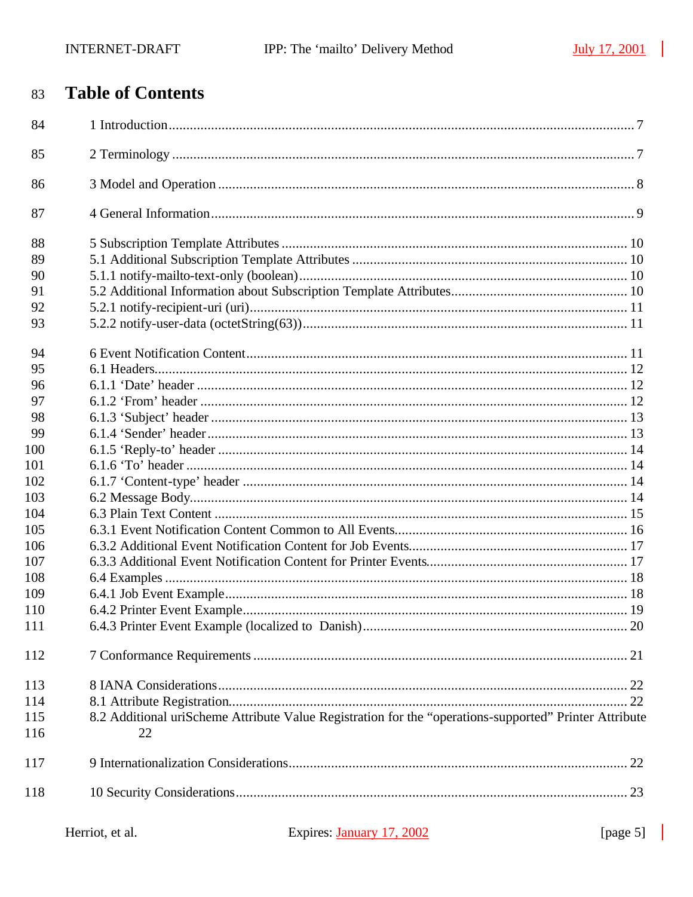#### **Table of Contents** 83

| 84  |                                                                                                        |  |
|-----|--------------------------------------------------------------------------------------------------------|--|
| 85  |                                                                                                        |  |
| 86  |                                                                                                        |  |
| 87  |                                                                                                        |  |
| 88  |                                                                                                        |  |
| 89  |                                                                                                        |  |
| 90  |                                                                                                        |  |
| 91  |                                                                                                        |  |
| 92  |                                                                                                        |  |
| 93  |                                                                                                        |  |
| 94  |                                                                                                        |  |
| 95  |                                                                                                        |  |
| 96  |                                                                                                        |  |
| 97  |                                                                                                        |  |
| 98  |                                                                                                        |  |
| 99  |                                                                                                        |  |
| 100 |                                                                                                        |  |
| 101 |                                                                                                        |  |
| 102 |                                                                                                        |  |
| 103 |                                                                                                        |  |
| 104 |                                                                                                        |  |
| 105 |                                                                                                        |  |
| 106 |                                                                                                        |  |
| 107 |                                                                                                        |  |
| 108 |                                                                                                        |  |
| 109 |                                                                                                        |  |
| 110 |                                                                                                        |  |
| 111 |                                                                                                        |  |
| 112 |                                                                                                        |  |
| 113 |                                                                                                        |  |
| 114 |                                                                                                        |  |
| 115 | 8.2 Additional uriScheme Attribute Value Registration for the "operations-supported" Printer Attribute |  |
| 116 | 22                                                                                                     |  |
| 117 |                                                                                                        |  |
| 118 |                                                                                                        |  |
|     |                                                                                                        |  |

| Herriot, et al. |  |  |  |
|-----------------|--|--|--|
|-----------------|--|--|--|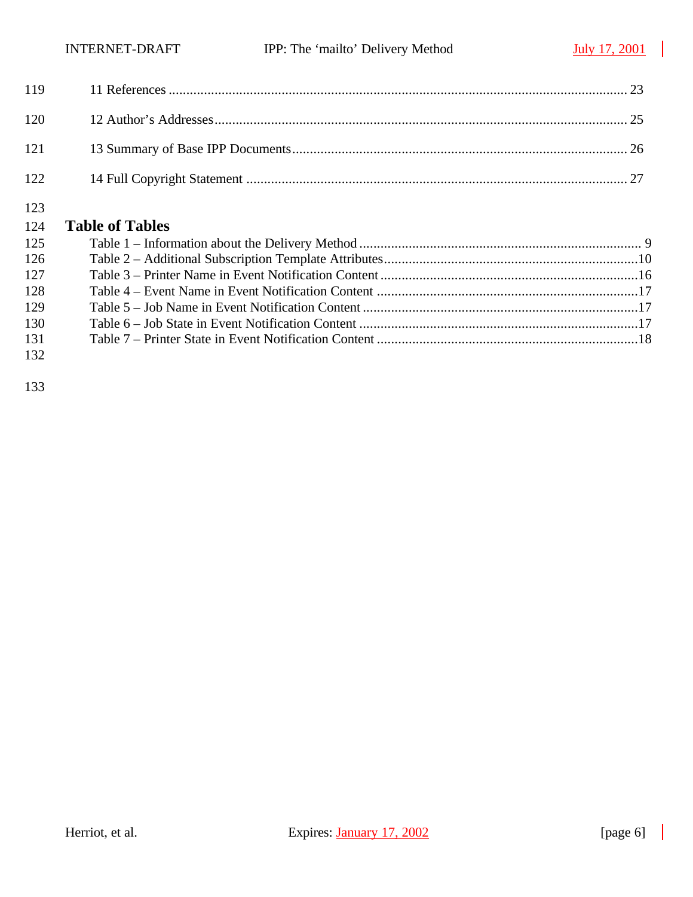| 123 | 124 Table of Tables |
|-----|---------------------|
| 122 |                     |
| 121 |                     |
| 120 |                     |
|     |                     |

|     | $124$ <b>Lattic VI Lattics</b> |  |
|-----|--------------------------------|--|
| 125 |                                |  |
| 126 |                                |  |
| 127 |                                |  |
| 128 |                                |  |
| 129 |                                |  |
| 130 |                                |  |
| 131 |                                |  |
| 132 |                                |  |
|     |                                |  |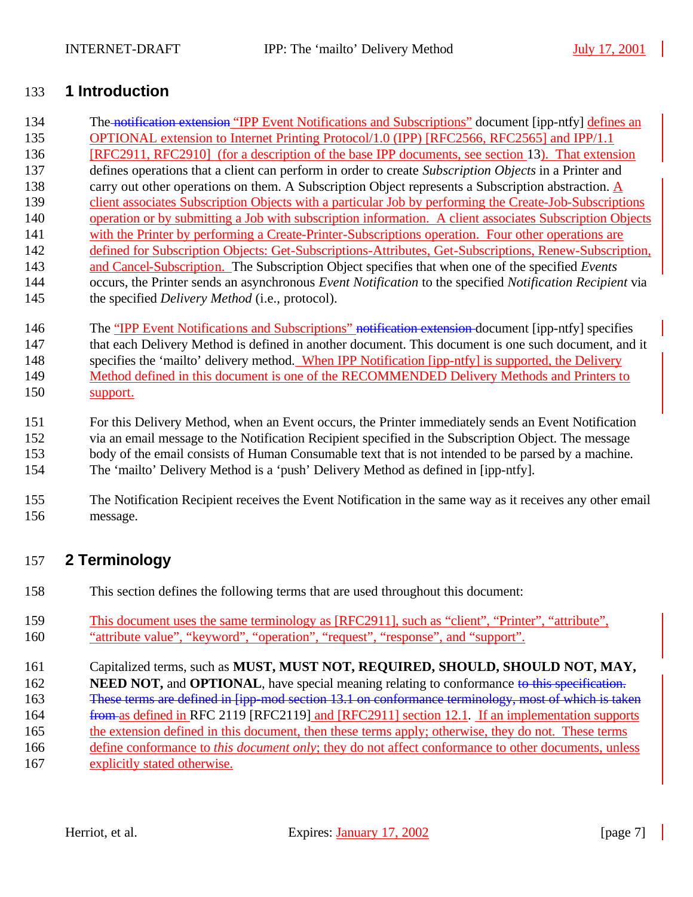## **1 Introduction**

- 134 The notification extension "IPP Event Notifications and Subscriptions" document [ipp-ntfy] defines an OPTIONAL extension to Internet Printing Protocol/1.0 (IPP) [RFC2566, RFC2565] and IPP/1.1 [RFC2911, RFC2910] (for a description of the base IPP documents, see section 13). That extension defines operations that a client can perform in order to create *Subscription Objects* in a Printer and carry out other operations on them. A Subscription Object represents a Subscription abstraction. A client associates Subscription Objects with a particular Job by performing the Create-Job-Subscriptions operation or by submitting a Job with subscription information. A client associates Subscription Objects 141 with the Printer by performing a Create-Printer-Subscriptions operation. Four other operations are defined for Subscription Objects: Get-Subscriptions-Attributes, Get-Subscriptions, Renew-Subscription, and Cancel-Subscription. The Subscription Object specifies that when one of the specified *Events* occurs, the Printer sends an asynchronous *Event Notification* to the specified *Notification Recipient* via the specified *Delivery Method* (i.e., protocol). 146 The "IPP Event Notifications and Subscriptions" notification extension document [ipp-ntfy] specifies
- that each Delivery Method is defined in another document. This document is one such document, and it specifies the 'mailto' delivery method. When IPP Notification [ipp-ntfy] is supported, the Delivery 149 Method defined in this document is one of the RECOMMENDED Delivery Methods and Printers to support.
- For this Delivery Method, when an Event occurs, the Printer immediately sends an Event Notification via an email message to the Notification Recipient specified in the Subscription Object. The message body of the email consists of Human Consumable text that is not intended to be parsed by a machine. The 'mailto' Delivery Method is a 'push' Delivery Method as defined in [ipp-ntfy].
- The Notification Recipient receives the Event Notification in the same way as it receives any other email message.

## **2 Terminology**

- This section defines the following terms that are used throughout this document:
- This document uses the same terminology as [RFC2911], such as "client", "Printer", "attribute", "attribute value", "keyword", "operation", "request", "response", and "support".
- Capitalized terms, such as **MUST, MUST NOT, REQUIRED, SHOULD, SHOULD NOT, MAY,**
- **NEED NOT, and OPTIONAL**, have special meaning relating to conformance to this specification.
- These terms are defined in [ipp-mod section 13.1 on conformance terminology, most of which is taken
- 164 from as defined in RFC 2119 [RFC2119] and [RFC2911] section 12.1. If an implementation supports
- the extension defined in this document, then these terms apply; otherwise, they do not. These terms
- define conformance to *this document only*; they do not affect conformance to other documents, unless
- explicitly stated otherwise.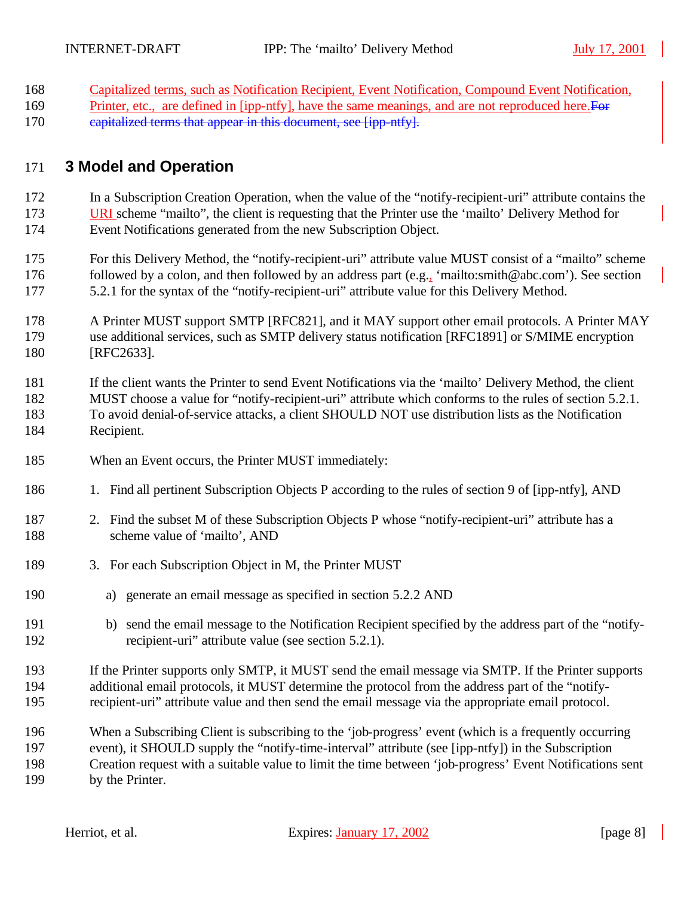- Capitalized terms, such as Notification Recipient, Event Notification, Compound Event Notification,
- 169 Printer, etc., are defined in [ipp-ntfy], have the same meanings, and are not reproduced here. For
- 170 capitalized terms that appear in this document, see [ipp-ntfy].

## **3 Model and Operation**

 In a Subscription Creation Operation, when the value of the "notify-recipient-uri" attribute contains the URI scheme "mailto", the client is requesting that the Printer use the 'mailto' Delivery Method for Event Notifications generated from the new Subscription Object.

 For this Delivery Method, the "notify-recipient-uri" attribute value MUST consist of a "mailto" scheme followed by a colon, and then followed by an address part (e.g., 'mailto:smith@abc.com'). See section 5.2.1 for the syntax of the "notify-recipient-uri" attribute value for this Delivery Method.

 A Printer MUST support SMTP [RFC821], and it MAY support other email protocols. A Printer MAY use additional services, such as SMTP delivery status notification [RFC1891] or S/MIME encryption 180 [RFC2633].

 If the client wants the Printer to send Event Notifications via the 'mailto' Delivery Method, the client MUST choose a value for "notify-recipient-uri" attribute which conforms to the rules of section 5.2.1. To avoid denial-of-service attacks, a client SHOULD NOT use distribution lists as the Notification Recipient.

- When an Event occurs, the Printer MUST immediately:
- 1. Find all pertinent Subscription Objects P according to the rules of section 9 of [ipp-ntfy], AND
- 2. Find the subset M of these Subscription Objects P whose "notify-recipient-uri" attribute has a 188 scheme value of 'mailto', AND
- 189 3. For each Subscription Object in M, the Printer MUST
- a) generate an email message as specified in section 5.2.2 AND
- b) send the email message to the Notification Recipient specified by the address part of the "notify-recipient-uri" attribute value (see section 5.2.1).
- If the Printer supports only SMTP, it MUST send the email message via SMTP. If the Printer supports additional email protocols, it MUST determine the protocol from the address part of the "notify-recipient-uri" attribute value and then send the email message via the appropriate email protocol.
- When a Subscribing Client is subscribing to the 'job-progress' event (which is a frequently occurring event), it SHOULD supply the "notify-time-interval" attribute (see [ipp-ntfy]) in the Subscription Creation request with a suitable value to limit the time between 'job-progress' Event Notifications sent by the Printer.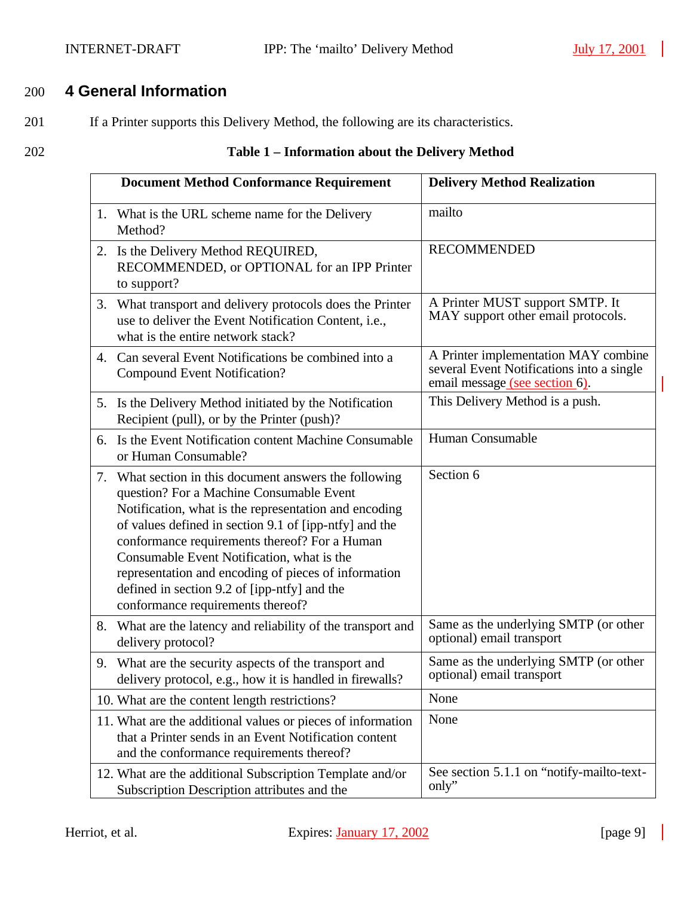$\mathcal{L}$ 

## 200 **4 General Information**

- 201 If a Printer supports this Delivery Method, the following are its characteristics.
- 

## 202 **Table 1 – Information about the Delivery Method**

|    | <b>Document Method Conformance Requirement</b>                                                                                                                                                                                                                                                                                                                                                                                                                 | <b>Delivery Method Realization</b>                                                                                  |  |
|----|----------------------------------------------------------------------------------------------------------------------------------------------------------------------------------------------------------------------------------------------------------------------------------------------------------------------------------------------------------------------------------------------------------------------------------------------------------------|---------------------------------------------------------------------------------------------------------------------|--|
|    | 1. What is the URL scheme name for the Delivery<br>Method?                                                                                                                                                                                                                                                                                                                                                                                                     | mailto                                                                                                              |  |
|    | 2. Is the Delivery Method REQUIRED,<br>RECOMMENDED, or OPTIONAL for an IPP Printer<br>to support?                                                                                                                                                                                                                                                                                                                                                              | <b>RECOMMENDED</b>                                                                                                  |  |
| 3. | What transport and delivery protocols does the Printer<br>use to deliver the Event Notification Content, i.e.,<br>what is the entire network stack?                                                                                                                                                                                                                                                                                                            | A Printer MUST support SMTP. It<br>MAY support other email protocols.                                               |  |
|    | 4. Can several Event Notifications be combined into a<br><b>Compound Event Notification?</b>                                                                                                                                                                                                                                                                                                                                                                   | A Printer implementation MAY combine<br>several Event Notifications into a single<br>email message (see section 6). |  |
|    | 5. Is the Delivery Method initiated by the Notification<br>Recipient (pull), or by the Printer (push)?                                                                                                                                                                                                                                                                                                                                                         | This Delivery Method is a push.                                                                                     |  |
| 6. | Is the Event Notification content Machine Consumable<br>or Human Consumable?                                                                                                                                                                                                                                                                                                                                                                                   | Human Consumable                                                                                                    |  |
| 7. | What section in this document answers the following<br>question? For a Machine Consumable Event<br>Notification, what is the representation and encoding<br>of values defined in section 9.1 of [ipp-ntfy] and the<br>conformance requirements thereof? For a Human<br>Consumable Event Notification, what is the<br>representation and encoding of pieces of information<br>defined in section 9.2 of [ipp-ntfy] and the<br>conformance requirements thereof? | Section 6                                                                                                           |  |
| 8. | What are the latency and reliability of the transport and<br>delivery protocol?                                                                                                                                                                                                                                                                                                                                                                                | Same as the underlying SMTP (or other<br>optional) email transport                                                  |  |
|    | 9. What are the security aspects of the transport and<br>delivery protocol, e.g., how it is handled in firewalls?                                                                                                                                                                                                                                                                                                                                              | Same as the underlying SMTP (or other<br>optional) email transport                                                  |  |
|    | 10. What are the content length restrictions?                                                                                                                                                                                                                                                                                                                                                                                                                  | None                                                                                                                |  |
|    | 11. What are the additional values or pieces of information<br>that a Printer sends in an Event Notification content<br>and the conformance requirements thereof?                                                                                                                                                                                                                                                                                              | None                                                                                                                |  |
|    | 12. What are the additional Subscription Template and/or<br>Subscription Description attributes and the                                                                                                                                                                                                                                                                                                                                                        | See section 5.1.1 on "notify-mailto-text-<br>only"                                                                  |  |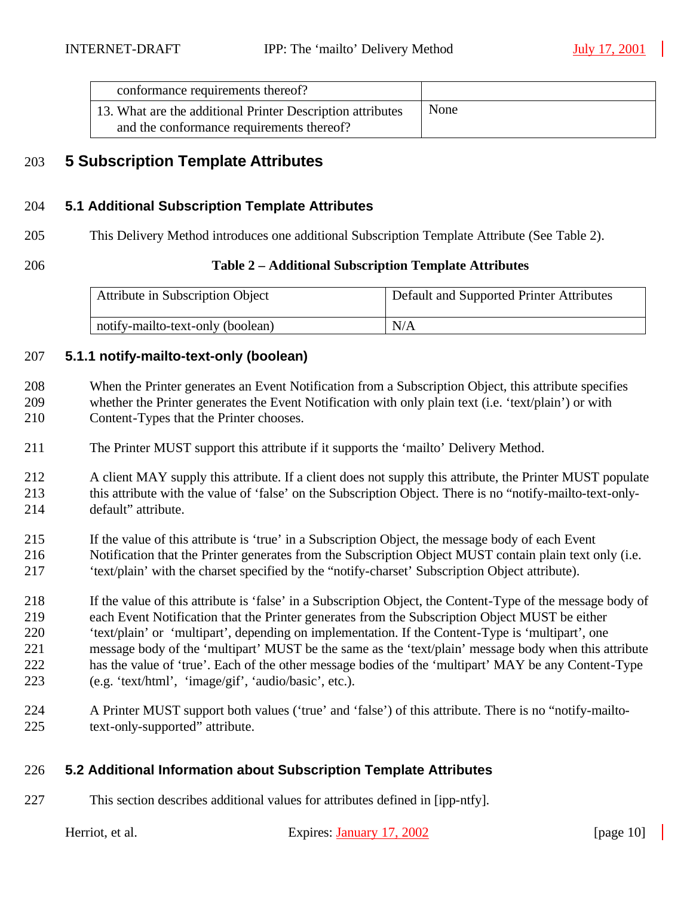| conformance requirements thereof?                                                                       |      |
|---------------------------------------------------------------------------------------------------------|------|
| 13. What are the additional Printer Description attributes<br>and the conformance requirements thereof? | None |

## **5 Subscription Template Attributes**

#### **5.1 Additional Subscription Template Attributes**

This Delivery Method introduces one additional Subscription Template Attribute (See Table 2).

#### **Table 2 – Additional Subscription Template Attributes**

| Attribute in Subscription Object  | Default and Supported Printer Attributes |
|-----------------------------------|------------------------------------------|
| notify-mailto-text-only (boolean) | N/A                                      |

#### **5.1.1 notify-mailto-text-only (boolean)**

- When the Printer generates an Event Notification from a Subscription Object, this attribute specifies whether the Printer generates the Event Notification with only plain text (i.e. 'text/plain') or with Content-Types that the Printer chooses.
- The Printer MUST support this attribute if it supports the 'mailto' Delivery Method.
- 212 A client MAY supply this attribute. If a client does not supply this attribute, the Printer MUST populate this attribute with the value of 'false' on the Subscription Object. There is no "notify-mailto-text-only-default" attribute.
- If the value of this attribute is 'true' in a Subscription Object, the message body of each Event
- Notification that the Printer generates from the Subscription Object MUST contain plain text only (i.e. 'text/plain' with the charset specified by the "notify-charset' Subscription Object attribute).
- If the value of this attribute is 'false' in a Subscription Object, the Content-Type of the message body of each Event Notification that the Printer generates from the Subscription Object MUST be either 'text/plain' or 'multipart', depending on implementation. If the Content-Type is 'multipart', one message body of the 'multipart' MUST be the same as the 'text/plain' message body when this attribute has the value of 'true'. Each of the other message bodies of the 'multipart' MAY be any Content-Type (e.g. 'text/html', 'image/gif', 'audio/basic', etc.).
- A Printer MUST support both values ('true' and 'false') of this attribute. There is no "notify-mailto-text-only-supported" attribute.

#### **5.2 Additional Information about Subscription Template Attributes**

This section describes additional values for attributes defined in [ipp-ntfy].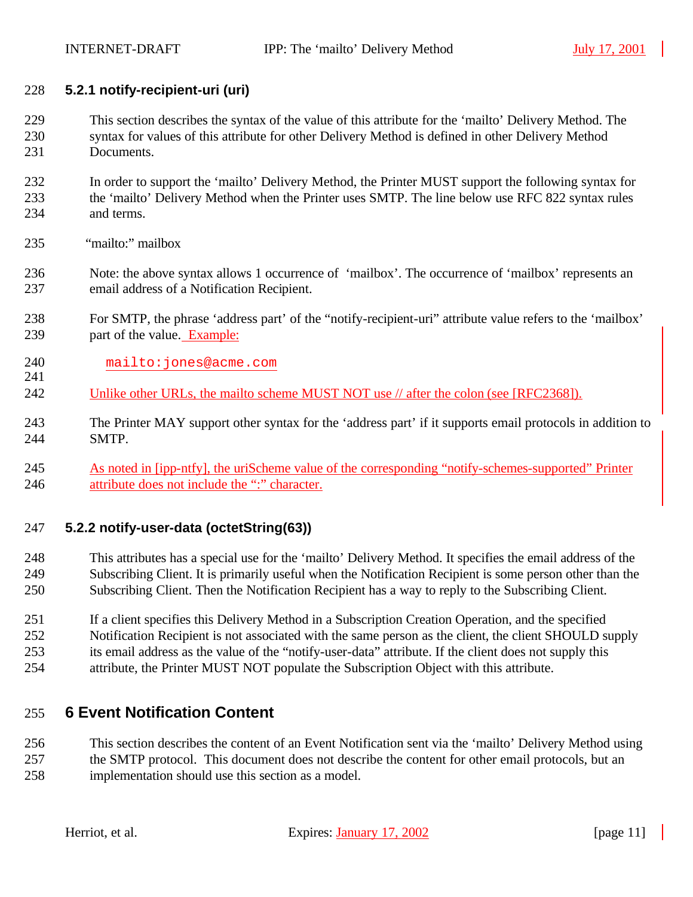#### **5.2.1 notify-recipient-uri (uri)**

- This section describes the syntax of the value of this attribute for the 'mailto' Delivery Method. The syntax for values of this attribute for other Delivery Method is defined in other Delivery Method Documents.
- In order to support the 'mailto' Delivery Method, the Printer MUST support the following syntax for the 'mailto' Delivery Method when the Printer uses SMTP. The line below use RFC 822 syntax rules and terms.
- "mailto:" mailbox

- Note: the above syntax allows 1 occurrence of 'mailbox'. The occurrence of 'mailbox' represents an email address of a Notification Recipient.
- For SMTP, the phrase 'address part' of the "notify-recipient-uri" attribute value refers to the 'mailbox' part of the value. Example:
- mailto:jones@acme.com
- 242 Unlike other URLs, the mailto scheme MUST NOT use // after the colon (see [RFC2368]).
- The Printer MAY support other syntax for the 'address part' if it supports email protocols in addition to SMTP.
- As noted in [ipp-ntfy], the uriScheme value of the corresponding "notify-schemes-supported" Printer attribute does not include the ":" character.

#### **5.2.2 notify-user-data (octetString(63))**

- This attributes has a special use for the 'mailto' Delivery Method. It specifies the email address of the Subscribing Client. It is primarily useful when the Notification Recipient is some person other than the Subscribing Client. Then the Notification Recipient has a way to reply to the Subscribing Client.
- If a client specifies this Delivery Method in a Subscription Creation Operation, and the specified Notification Recipient is not associated with the same person as the client, the client SHOULD supply its email address as the value of the "notify-user-data" attribute. If the client does not supply this attribute, the Printer MUST NOT populate the Subscription Object with this attribute.

## **6 Event Notification Content**

 This section describes the content of an Event Notification sent via the 'mailto' Delivery Method using the SMTP protocol. This document does not describe the content for other email protocols, but an implementation should use this section as a model.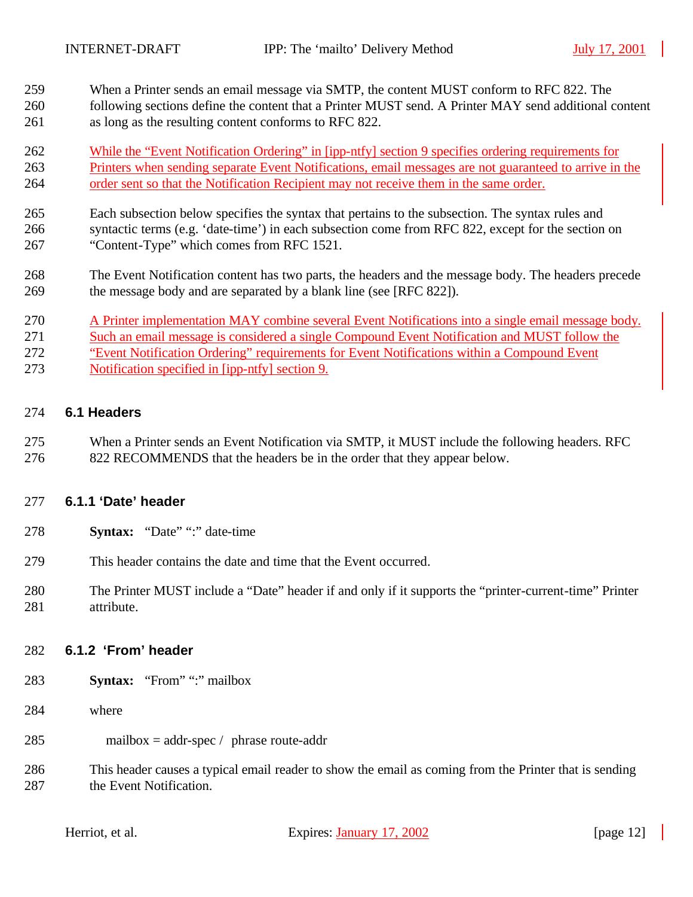- When a Printer sends an email message via SMTP, the content MUST conform to RFC 822. The
- following sections define the content that a Printer MUST send. A Printer MAY send additional content as long as the resulting content conforms to RFC 822.
- While the "Event Notification Ordering" in [ipp-ntfy] section 9 specifies ordering requirements for Printers when sending separate Event Notifications, email messages are not guaranteed to arrive in the order sent so that the Notification Recipient may not receive them in the same order.
- Each subsection below specifies the syntax that pertains to the subsection. The syntax rules and syntactic terms (e.g. 'date-time') in each subsection come from RFC 822, except for the section on "Content-Type" which comes from RFC 1521.
- The Event Notification content has two parts, the headers and the message body. The headers precede the message body and are separated by a blank line (see [RFC 822]).
- A Printer implementation MAY combine several Event Notifications into a single email message body. Such an email message is considered a single Compound Event Notification and MUST follow the "Event Notification Ordering" requirements for Event Notifications within a Compound Event Notification specified in [ipp-ntfy] section 9.

#### **6.1 Headers**

 When a Printer sends an Event Notification via SMTP, it MUST include the following headers. RFC 822 RECOMMENDS that the headers be in the order that they appear below.

#### **6.1.1 'Date' header**

- **Syntax:** "Date" ":" date-time
- This header contains the date and time that the Event occurred.
- The Printer MUST include a "Date" header if and only if it supports the "printer-current-time" Printer attribute.

#### **6.1.2 'From' header**

- **Syntax:** "From" ":" mailbox
- where
- mailbox = addr-spec / phrase route-addr
- This header causes a typical email reader to show the email as coming from the Printer that is sending 287 the Event Notification.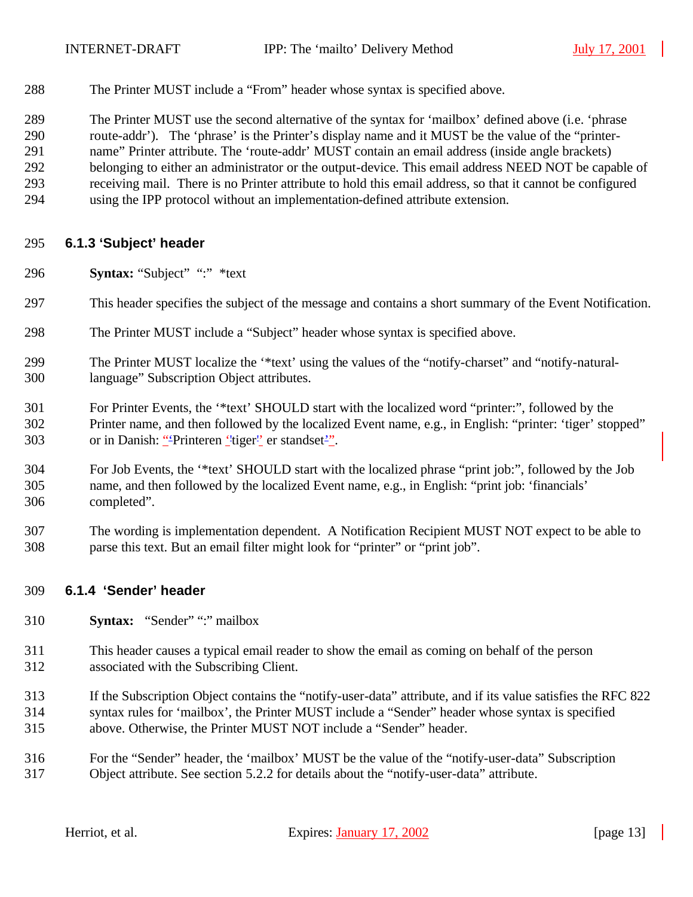The Printer MUST include a "From" header whose syntax is specified above.

 The Printer MUST use the second alternative of the syntax for 'mailbox' defined above (i.e. 'phrase route-addr'). The 'phrase' is the Printer's display name and it MUST be the value of the "printer- name" Printer attribute. The 'route-addr' MUST contain an email address (inside angle brackets) belonging to either an administrator or the output-device. This email address NEED NOT be capable of receiving mail. There is no Printer attribute to hold this email address, so that it cannot be configured using the IPP protocol without an implementation-defined attribute extension.

#### **6.1.3 'Subject' header**

- **Syntax:** "Subject" ":" \*text
- This header specifies the subject of the message and contains a short summary of the Event Notification.
- The Printer MUST include a "Subject" header whose syntax is specified above.
- The Printer MUST localize the '\*text' using the values of the "notify-charset" and "notify-natural-language" Subscription Object attributes.
- For Printer Events, the '\*text' SHOULD start with the localized word "printer:", followed by the Printer name, and then followed by the localized Event name, e.g., in English: "printer: 'tiger' stopped" 303 or in Danish: "Printeren ''tiger'' er standset<sup>2"</sup>.
- For Job Events, the '\*text' SHOULD start with the localized phrase "print job:", followed by the Job name, and then followed by the localized Event name, e.g., in English: "print job: 'financials' completed".
- The wording is implementation dependent. A Notification Recipient MUST NOT expect to be able to parse this text. But an email filter might look for "printer" or "print job".

#### **6.1.4 'Sender' header**

- **Syntax:** "Sender" ":" mailbox
- This header causes a typical email reader to show the email as coming on behalf of the person associated with the Subscribing Client.
- If the Subscription Object contains the "notify-user-data" attribute, and if its value satisfies the RFC 822 syntax rules for 'mailbox', the Printer MUST include a "Sender" header whose syntax is specified above. Otherwise, the Printer MUST NOT include a "Sender" header.
- For the "Sender" header, the 'mailbox' MUST be the value of the "notify-user-data" Subscription Object attribute. See section 5.2.2 for details about the "notify-user-data" attribute.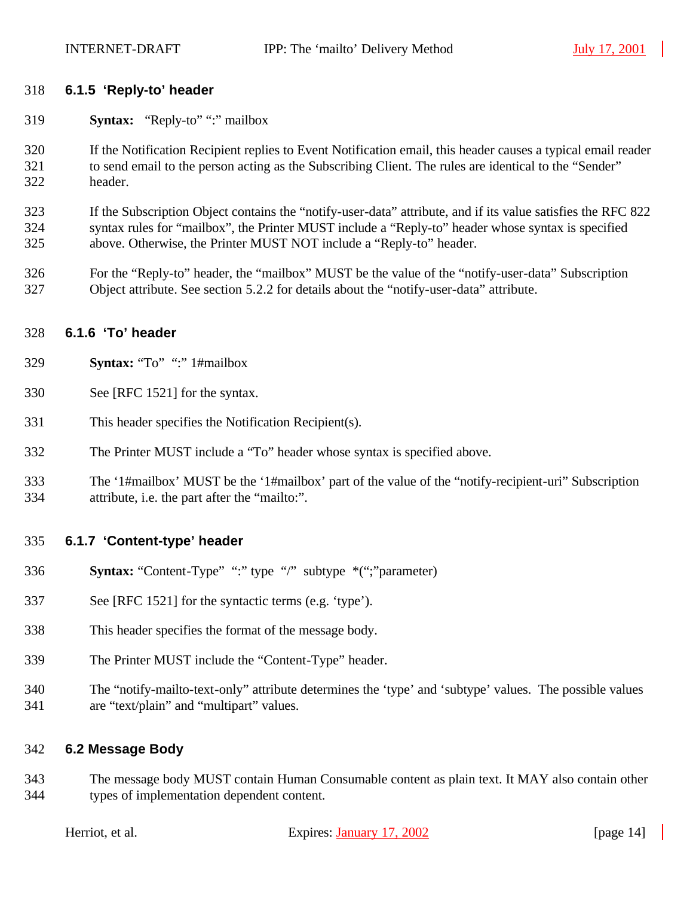#### **6.1.5 'Reply-to' header**

- **Syntax:** "Reply-to" ":" mailbox
- If the Notification Recipient replies to Event Notification email, this header causes a typical email reader to send email to the person acting as the Subscribing Client. The rules are identical to the "Sender" header.
- If the Subscription Object contains the "notify-user-data" attribute, and if its value satisfies the RFC 822 syntax rules for "mailbox", the Printer MUST include a "Reply-to" header whose syntax is specified above. Otherwise, the Printer MUST NOT include a "Reply-to" header.
- For the "Reply-to" header, the "mailbox" MUST be the value of the "notify-user-data" Subscription Object attribute. See section 5.2.2 for details about the "notify-user-data" attribute.

#### **6.1.6 'To' header**

- **Syntax:** "To" ":" 1#mailbox
- See [RFC 1521] for the syntax.
- This header specifies the Notification Recipient(s).
- The Printer MUST include a "To" header whose syntax is specified above.
- The '1#mailbox' MUST be the '1#mailbox' part of the value of the "notify-recipient-uri" Subscription attribute, i.e. the part after the "mailto:".

#### **6.1.7 'Content-type' header**

- **Syntax:** "Content-Type" ":" type "/" subtype \*(";"parameter)
- See [RFC 1521] for the syntactic terms (e.g. 'type').
- This header specifies the format of the message body.
- The Printer MUST include the "Content-Type" header.
- The "notify-mailto-text-only" attribute determines the 'type' and 'subtype' values. The possible values are "text/plain" and "multipart" values.

#### **6.2 Message Body**

 The message body MUST contain Human Consumable content as plain text. It MAY also contain other types of implementation dependent content.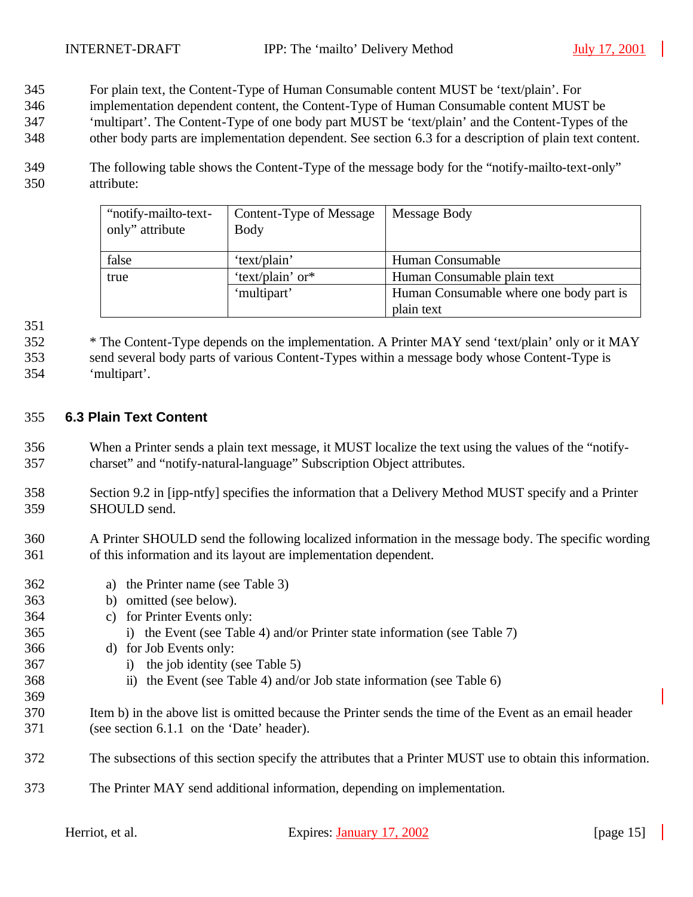- For plain text, the Content-Type of Human Consumable content MUST be 'text/plain'. For
- implementation dependent content, the Content-Type of Human Consumable content MUST be
- 'multipart'. The Content-Type of one body part MUST be 'text/plain' and the Content-Types of the
- other body parts are implementation dependent. See section 6.3 for a description of plain text content.
- The following table shows the Content-Type of the message body for the "notify-mailto-text-only" attribute:

| "notify-mailto-text-<br>only" attribute | Content-Type of Message<br><b>Body</b> | Message Body                            |
|-----------------------------------------|----------------------------------------|-----------------------------------------|
| false                                   | 'text/plain'                           | Human Consumable                        |
| 'text/plain' or*<br>true                |                                        | Human Consumable plain text             |
|                                         | 'multipart'                            | Human Consumable where one body part is |
|                                         |                                        | plain text                              |

 \* The Content-Type depends on the implementation. A Printer MAY send 'text/plain' only or it MAY send several body parts of various Content-Types within a message body whose Content-Type is 'multipart'.

#### **6.3 Plain Text Content**

- When a Printer sends a plain text message, it MUST localize the text using the values of the "notify-charset" and "notify-natural-language" Subscription Object attributes.
- Section 9.2 in [ipp-ntfy] specifies the information that a Delivery Method MUST specify and a Printer SHOULD send.
- A Printer SHOULD send the following localized information in the message body. The specific wording of this information and its layout are implementation dependent.
- a) the Printer name (see Table 3) b) omitted (see below). c) for Printer Events only: i) the Event (see Table 4) and/or Printer state information (see Table 7) d) for Job Events only: i) the job identity (see Table 5) ii) the Event (see Table 4) and/or Job state information (see Table 6) Item b) in the above list is omitted because the Printer sends the time of the Event as an email header (see section 6.1.1 on the 'Date' header). The subsections of this section specify the attributes that a Printer MUST use to obtain this information. The Printer MAY send additional information, depending on implementation.

| Herriot, et al. |  |  |  |
|-----------------|--|--|--|
|-----------------|--|--|--|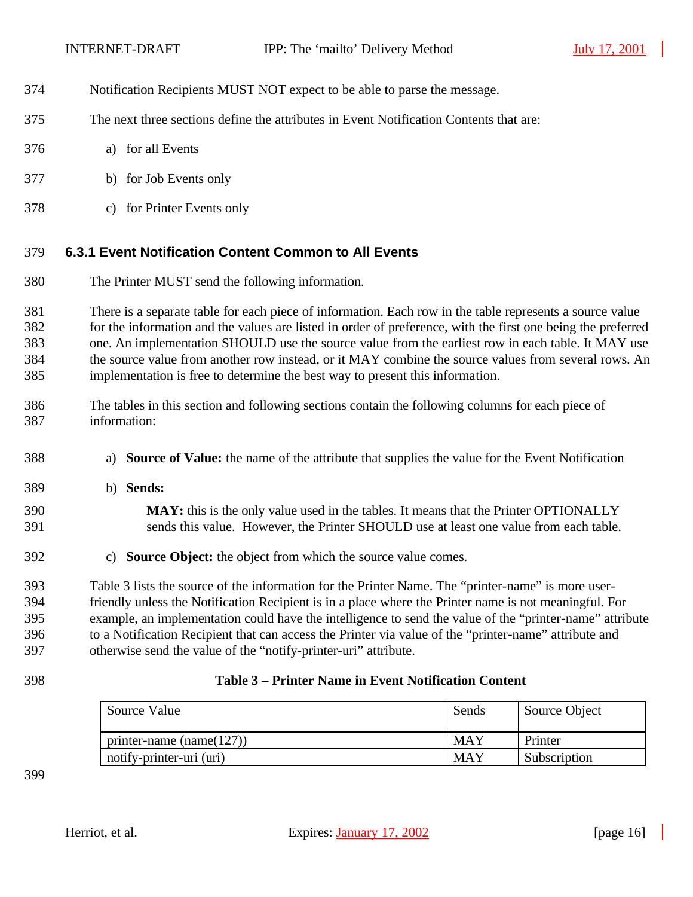- Notification Recipients MUST NOT expect to be able to parse the message.
- The next three sections define the attributes in Event Notification Contents that are:
- a) for all Events
- b) for Job Events only
- c) for Printer Events only

## **6.3.1 Event Notification Content Common to All Events**

The Printer MUST send the following information.

 There is a separate table for each piece of information. Each row in the table represents a source value for the information and the values are listed in order of preference, with the first one being the preferred one. An implementation SHOULD use the source value from the earliest row in each table. It MAY use the source value from another row instead, or it MAY combine the source values from several rows. An implementation is free to determine the best way to present this information.

- The tables in this section and following sections contain the following columns for each piece of information:
- a) **Source of Value:** the name of the attribute that supplies the value for the Event Notification
- b) **Sends:**
- **MAY:** this is the only value used in the tables. It means that the Printer OPTIONALLY sends this value. However, the Printer SHOULD use at least one value from each table.
- c) **Source Object:** the object from which the source value comes.

 Table 3 lists the source of the information for the Printer Name. The "printer-name" is more user- friendly unless the Notification Recipient is in a place where the Printer name is not meaningful. For example, an implementation could have the intelligence to send the value of the "printer-name" attribute to a Notification Recipient that can access the Printer via value of the "printer-name" attribute and otherwise send the value of the "notify-printer-uri" attribute.

#### **Table 3 – Printer Name in Event Notification Content**

| Source Value                 | Sends      | Source Object |
|------------------------------|------------|---------------|
| printer-name (name( $127$ )) | <b>MAY</b> | Printer       |
| notify-printer-uri (uri)     | <b>MAY</b> | Subscription  |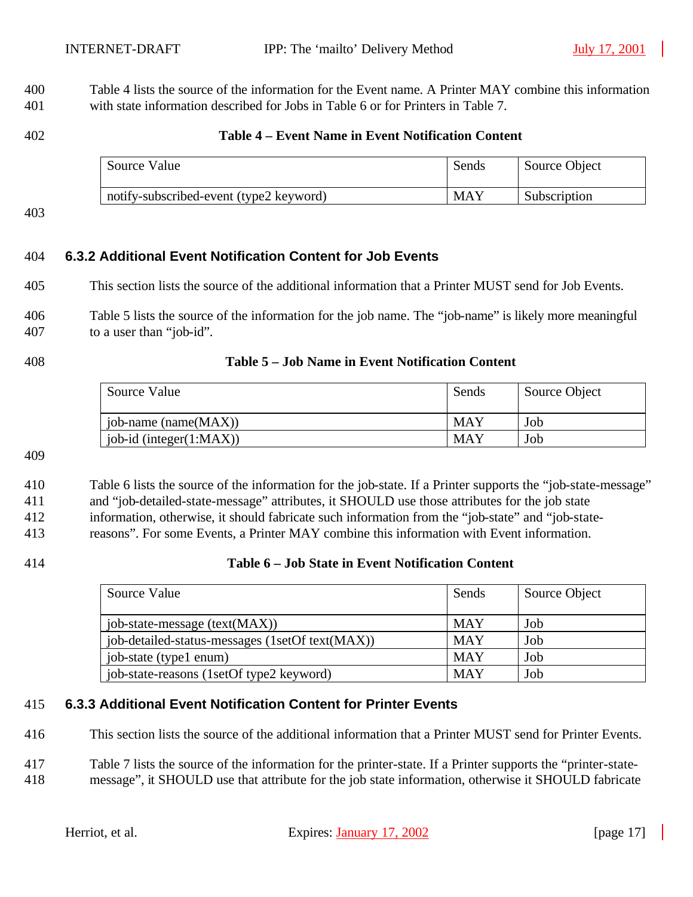Table 4 lists the source of the information for the Event name. A Printer MAY combine this information with state information described for Jobs in Table 6 or for Printers in Table 7.

#### **Table 4 – Event Name in Event Notification Content**

| Source Value                            | Sends | Source Object |
|-----------------------------------------|-------|---------------|
| notify-subscribed-event (type2 keyword) | MAY   | Subscription  |

#### **6.3.2 Additional Event Notification Content for Job Events**

This section lists the source of the additional information that a Printer MUST send for Job Events.

 Table 5 lists the source of the information for the job name. The "job-name" is likely more meaningful to a user than "job-id".

#### **Table 5 – Job Name in Event Notification Content**

| Source Value                | Sends      | Source Object |
|-----------------------------|------------|---------------|
| job-name (name(MAX))        | MAY        | Job           |
| job-id (integer $(1:MAX)$ ) | <b>MAY</b> | Job           |

## Table 6 lists the source of the information for the job-state. If a Printer supports the "job-state-message"

and "job-detailed-state-message" attributes, it SHOULD use those attributes for the job state

information, otherwise, it should fabricate such information from the "job-state" and "job-state-

reasons". For some Events, a Printer MAY combine this information with Event information.

#### **Table 6 – Job State in Event Notification Content**

| Source Value                                    | Sends      | Source Object |
|-------------------------------------------------|------------|---------------|
| job-state-message (text(MAX))                   | <b>MAY</b> | Job           |
| job-detailed-status-messages (1setOf text(MAX)) | <b>MAY</b> | Job           |
| job-state (type1 enum)                          | <b>MAY</b> | Job           |
| job-state-reasons (1setOf type2 keyword)        | <b>MAY</b> | Job           |

#### **6.3.3 Additional Event Notification Content for Printer Events**

This section lists the source of the additional information that a Printer MUST send for Printer Events.

Table 7 lists the source of the information for the printer-state. If a Printer supports the "printer-state-

message", it SHOULD use that attribute for the job state information, otherwise it SHOULD fabricate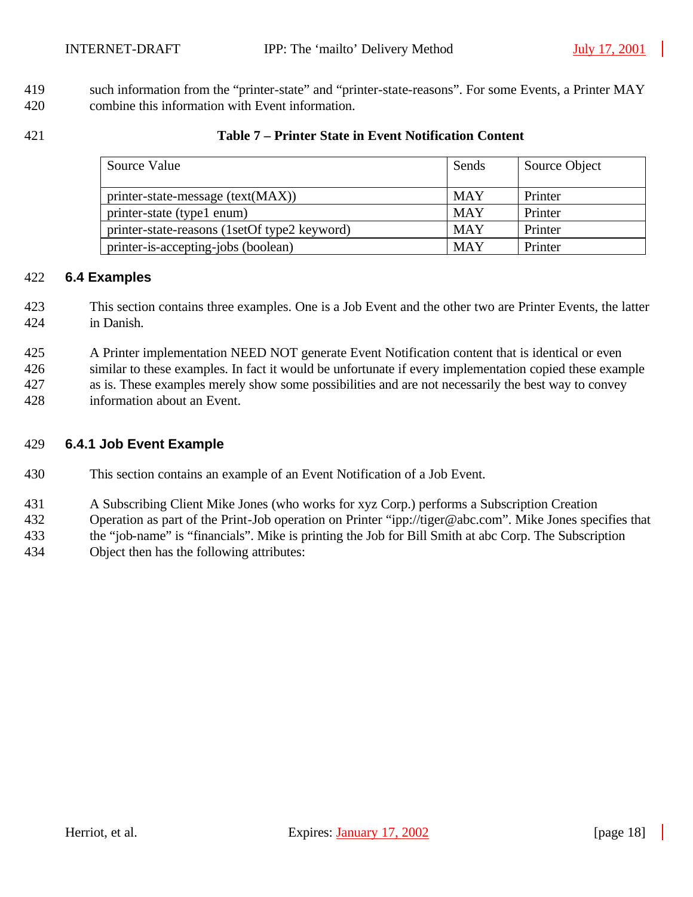419 such information from the "printer-state" and "printer-state-reasons". For some Events, a Printer MAY combine this information with Event information.

#### **Table 7 – Printer State in Event Notification Content**

| Source Value                                 | Sends      | Source Object |
|----------------------------------------------|------------|---------------|
| $printer-state-message (text(MAX))$          | <b>MAY</b> | Printer       |
| printer-state (type1 enum)                   | <b>MAY</b> | Printer       |
| printer-state-reasons (1setOf type2 keyword) | <b>MAY</b> | Printer       |
| printer-is-accepting-jobs (boolean)          | <b>MAY</b> | Printer       |

#### **6.4 Examples**

- This section contains three examples. One is a Job Event and the other two are Printer Events, the latter in Danish.
- A Printer implementation NEED NOT generate Event Notification content that is identical or even
- similar to these examples. In fact it would be unfortunate if every implementation copied these example
- as is. These examples merely show some possibilities and are not necessarily the best way to convey
- information about an Event.

#### **6.4.1 Job Event Example**

- This section contains an example of an Event Notification of a Job Event.
- A Subscribing Client Mike Jones (who works for xyz Corp.) performs a Subscription Creation
- Operation as part of the Print-Job operation on Printer "ipp://tiger@abc.com". Mike Jones specifies that
- the "job-name" is "financials". Mike is printing the Job for Bill Smith at abc Corp. The Subscription
- Object then has the following attributes: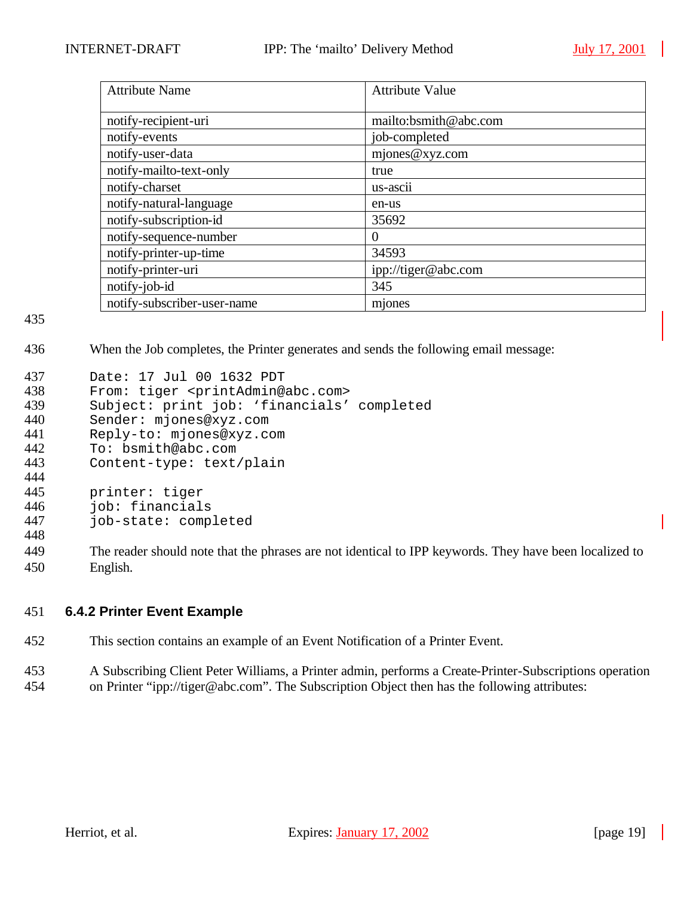| <b>Attribute Name</b>       | <b>Attribute Value</b> |
|-----------------------------|------------------------|
|                             |                        |
| notify-recipient-uri        | mailto:bsmith@abc.com  |
| notify-events               | job-completed          |
| notify-user-data            | mjones@xyz.com         |
| notify-mailto-text-only     | true                   |
| notify-charset              | us-ascii               |
| notify-natural-language     | en-us                  |
| notify-subscription-id      | 35692                  |
| notify-sequence-number      | $\theta$               |
| notify-printer-up-time      | 34593                  |
| notify-printer-uri          | ipp://tiger@abc.com    |
| notify-job-id               | 345                    |
| notify-subscriber-user-name | mjones                 |

436 When the Job completes, the Printer generates and sends the following email message:

| 437 | Date: 17 Jul 00 1632 PDT                                           |
|-----|--------------------------------------------------------------------|
| 438 | From: tiger <printadmin@abc.com></printadmin@abc.com>              |
| 439 | Subject: print job: 'financials' completed                         |
| 440 | Sender: mjones@xyz.com                                             |
| 441 | Reply-to: mjones@xyz.com                                           |
| 442 | To: bsmith@abc.com                                                 |
| 443 | Content-type: text/plain                                           |
| 444 |                                                                    |
| 445 | printer: tiger                                                     |
| 446 | job: financials                                                    |
| 447 | job-state: completed                                               |
| 448 |                                                                    |
| AAO | The reader should note that the phrases are not identical to IDD k |

449 The reader should note that the phrases are not identical to IPP keywords. They have been localized to 450 English.

#### 451 **6.4.2 Printer Event Example**

- 452 This section contains an example of an Event Notification of a Printer Event.
- 453 A Subscribing Client Peter Williams, a Printer admin, performs a Create-Printer-Subscriptions operation 454 on Printer "ipp://tiger@abc.com". The Subscription Object then has the following attributes: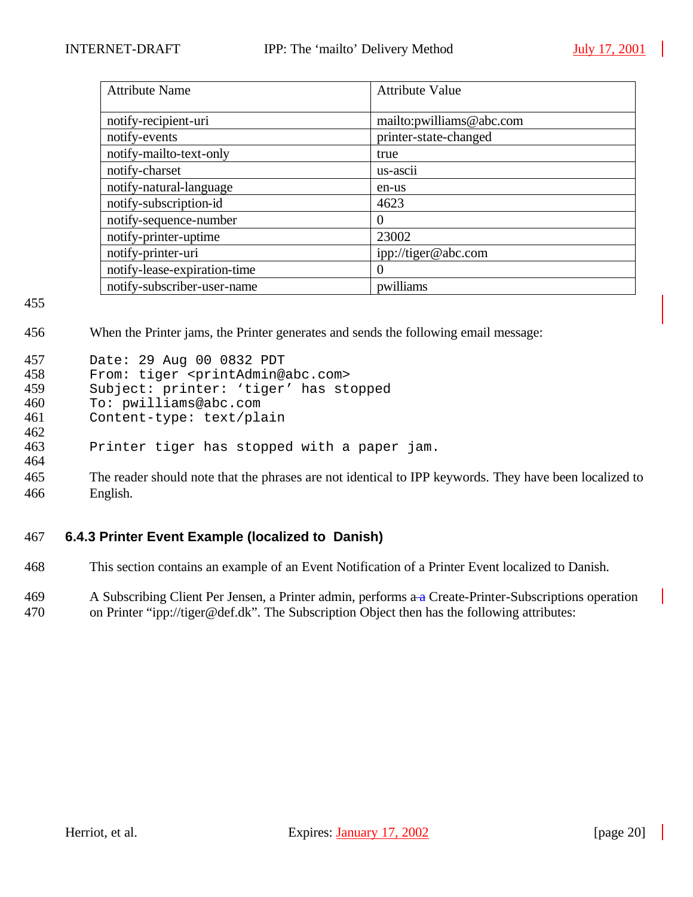| <b>Attribute Name</b>        | <b>Attribute Value</b>   |
|------------------------------|--------------------------|
| notify-recipient-uri         | mailto:pwilliams@abc.com |
| notify-events                | printer-state-changed    |
| notify-mailto-text-only      | true                     |
| notify-charset               | us-ascii                 |
| notify-natural-language      | en-us                    |
| notify-subscription-id       | 4623                     |
| notify-sequence-number       | $\theta$                 |
| notify-printer-uptime        | 23002                    |
| notify-printer-uri           | ipp://tiger@abc.com      |
| notify-lease-expiration-time | 0                        |
| notify-subscriber-user-name  | pwilliams                |

456 When the Printer jams, the Printer generates and sends the following email message:

| 457 | Date: 29 Aug 00 0832 PDT                              |
|-----|-------------------------------------------------------|
| 458 | From: tiger <printadmin@abc.com></printadmin@abc.com> |
| 459 | Subject: printer: 'tiger' has stopped                 |
| 460 | To: pwilliams@abc.com                                 |
| 461 | Content-type: text/plain                              |
| 462 |                                                       |
| 463 | Printer tiger has stopped with a paper jam.           |
| 464 |                                                       |

465 The reader should note that the phrases are not identical to IPP keywords. They have been localized to 466 English.

## 467 **6.4.3 Printer Event Example (localized to Danish)**

468 This section contains an example of an Event Notification of a Printer Event localized to Danish.

469 A Subscribing Client Per Jensen, a Printer admin, performs a a Create-Printer-Subscriptions operation 470 on Printer "ipp://tiger@def.dk". The Subscription Object then has the following attributes: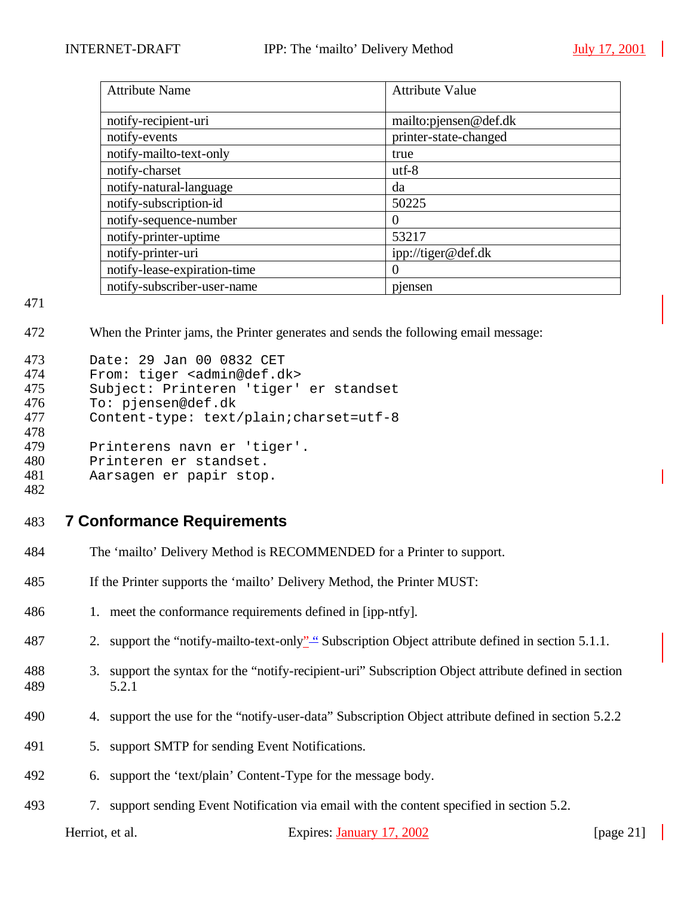| <b>Attribute Name</b>        | <b>Attribute Value</b> |
|------------------------------|------------------------|
| notify-recipient-uri         | mailto: pjensen@def.dk |
| notify-events                | printer-state-changed  |
| notify-mailto-text-only      | true                   |
| notify-charset               | $utf-8$                |
| notify-natural-language      | da                     |
| notify-subscription-id       | 50225                  |
| notify-sequence-number       | $\theta$               |
| notify-printer-uptime        | 53217                  |
| notify-printer-uri           | ipp://tiger@def.dk     |
| notify-lease-expiration-time | $\theta$               |
| notify-subscriber-user-name  | piensen                |

472 When the Printer jams, the Printer generates and sends the following email message:

| 473        | Date: 29 Jan 00 0832 CET                  |
|------------|-------------------------------------------|
| 474        | From: tiger <admin@def.dk></admin@def.dk> |
| 475        | Subject: Printeren 'tiger' er standset    |
| 476        | To: pjensen@def.dk                        |
| 477        | Content-type: text/plain; charset=utf-8   |
| 478        |                                           |
| 479        | Printerens navn er 'tiger'.               |
| 480        | Printeren er standset.                    |
| 481        | Aarsagen er papir stop.                   |
| $\sqrt{2}$ |                                           |

482

#### 483 **7 Conformance Requirements**

- 484 The 'mailto' Delivery Method is RECOMMENDED for a Printer to support.
- 485 If the Printer supports the 'mailto' Delivery Method, the Printer MUST:
- 486 1. meet the conformance requirements defined in [ipp-ntfy].
- 487 2. support the "notify-mailto-text-only" "Subscription Object attribute defined in section 5.1.1.
- 488 3. support the syntax for the "notify-recipient-uri" Subscription Object attribute defined in section 489 5.2.1
- 490 4. support the use for the "notify-user-data" Subscription Object attribute defined in section 5.2.2
- 491 5. support SMTP for sending Event Notifications.
- 492 6. support the 'text/plain' Content-Type for the message body.
- 493 7. support sending Event Notification via email with the content specified in section 5.2.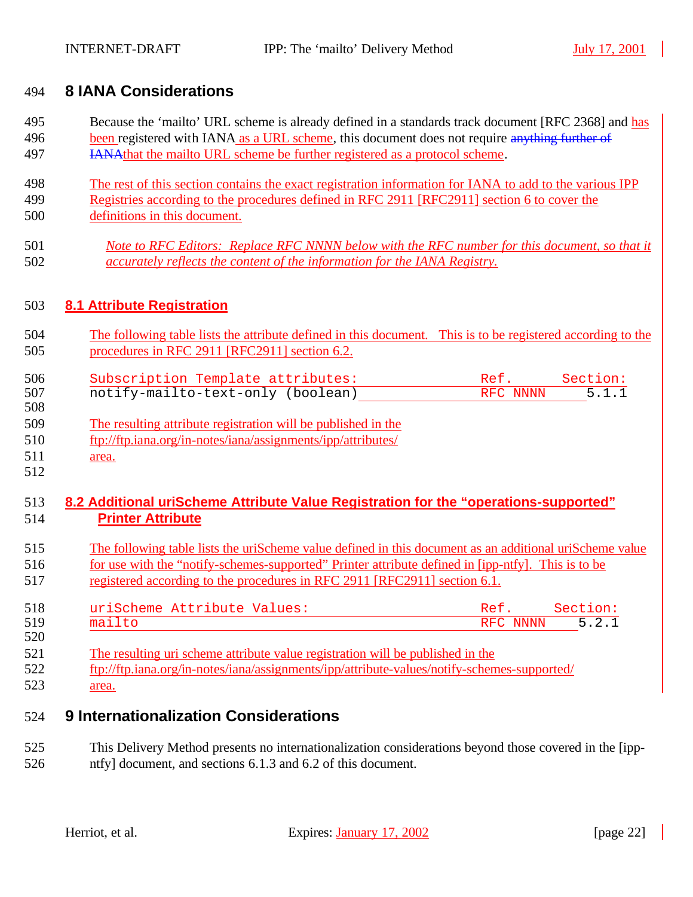## **8 IANA Considerations**

- Because the 'mailto' URL scheme is already defined in a standards track document [RFC 2368] and has 496 been registered with IANA as a URL scheme, this document does not require anything further of IANAthat the mailto URL scheme be further registered as a protocol scheme.
- The rest of this section contains the exact registration information for IANA to add to the various IPP Registries according to the procedures defined in RFC 2911 [RFC2911] section 6 to cover the
- definitions in this document.
- *Note to RFC Editors: Replace RFC NNNN below with the RFC number for this document, so that it accurately reflects the content of the information for the IANA Registry.*

## **8.1 Attribute Registration**

 The following table lists the attribute defined in this document. This is to be registered according to the procedures in RFC 2911 [RFC2911] section 6.2.

| 506 | Subscription Template attributes: | Ref.     | Section: |
|-----|-----------------------------------|----------|----------|
| 507 | notify-mailto-text-only (boolean) | RFC NNNN | 5.1.1    |
| 508 |                                   |          |          |

- The resulting attribute registration will be published in the
- ftp://ftp.iana.org/in-notes/iana/assignments/ipp/attributes/
- area.

## **8.2 Additional uriScheme Attribute Value Registration for the "operations-supported" Printer Attribute**

- The following table lists the uriScheme value defined in this document as an additional uriScheme value for use with the "notify-schemes-supported" Printer attribute defined in [ipp-ntfy]. This is to be registered according to the procedures in RFC 2911 [RFC2911] section 6.1.
- 518 uriScheme Attribute Values: Ref. Section:<br>519 mailto RFC NNNN 5.2.1 RFC NNNN
- The resulting uri scheme attribute value registration will be published in the ftp://ftp.iana.org/in-notes/iana/assignments/ipp/attribute-values/notify-schemes-supported/
- area.

## **9 Internationalization Considerations**

 This Delivery Method presents no internationalization considerations beyond those covered in the [ipp-ntfy] document, and sections 6.1.3 and 6.2 of this document.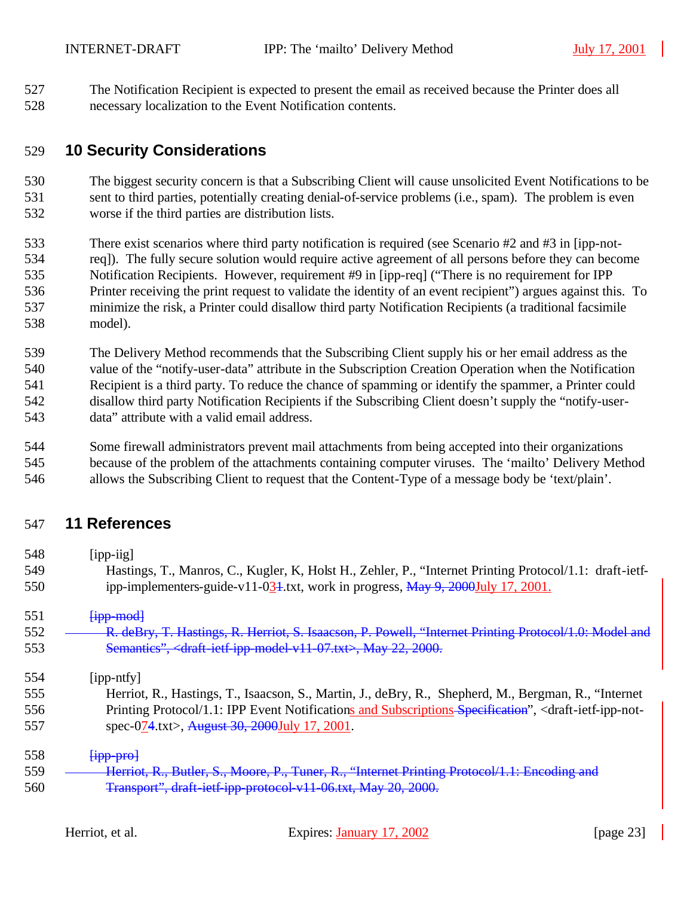The Notification Recipient is expected to present the email as received because the Printer does all necessary localization to the Event Notification contents.

## **10 Security Considerations**

 The biggest security concern is that a Subscribing Client will cause unsolicited Event Notifications to be sent to third parties, potentially creating denial-of-service problems (i.e., spam). The problem is even worse if the third parties are distribution lists.

- There exist scenarios where third party notification is required (see Scenario #2 and #3 in [ipp-not- req]). The fully secure solution would require active agreement of all persons before they can become Notification Recipients. However, requirement #9 in [ipp-req] ("There is no requirement for IPP Printer receiving the print request to validate the identity of an event recipient") argues against this. To minimize the risk, a Printer could disallow third party Notification Recipients (a traditional facsimile model).
- The Delivery Method recommends that the Subscribing Client supply his or her email address as the value of the "notify-user-data" attribute in the Subscription Creation Operation when the Notification Recipient is a third party. To reduce the chance of spamming or identify the spammer, a Printer could disallow third party Notification Recipients if the Subscribing Client doesn't supply the "notify-user-data" attribute with a valid email address.

 Some firewall administrators prevent mail attachments from being accepted into their organizations because of the problem of the attachments containing computer viruses. The 'mailto' Delivery Method allows the Subscribing Client to request that the Content-Type of a message body be 'text/plain'.

## **11 References**

 [ipp-iig] Hastings, T., Manros, C., Kugler, K, Holst H., Zehler, P., "Internet Printing Protocol/1.1: draft-ietf-550 ipp-implementers-guide-v11-034.txt, work in progress, May 9, 2000July 17, 2001.

 $\frac{1}{1}pp\text{-mod}$ 

- **R. deBry, T. Hastings, R. Herriot, S. Isaacson, P. Powell, "Internet Printing Protocol/1.0: Model and** Semantics", <draft-ietf-ipp-model-v11-07.txt>, May 22, 2000.
- [ipp-ntfy]
- Herriot, R., Hastings, T., Isaacson, S., Martin, J., deBry, R., Shepherd, M., Bergman, R., "Internet 556 Printing Protocol/1.1: IPP Event Notifications and Subscriptions Specification", <draft-ietf-ipp-not-
- 557 spec-074.txt>, August 30, 2000July 17, 2001.
- $[*ipp-pro-*]$ 559 <del>Herriot, R., Butler, S., Moore, P., Tuner, R., "Internet Printing Protocol/1.1: Encoding and</del> Transport", draft-ietf-ipp-protocol-v11-06.txt, May 20, 2000.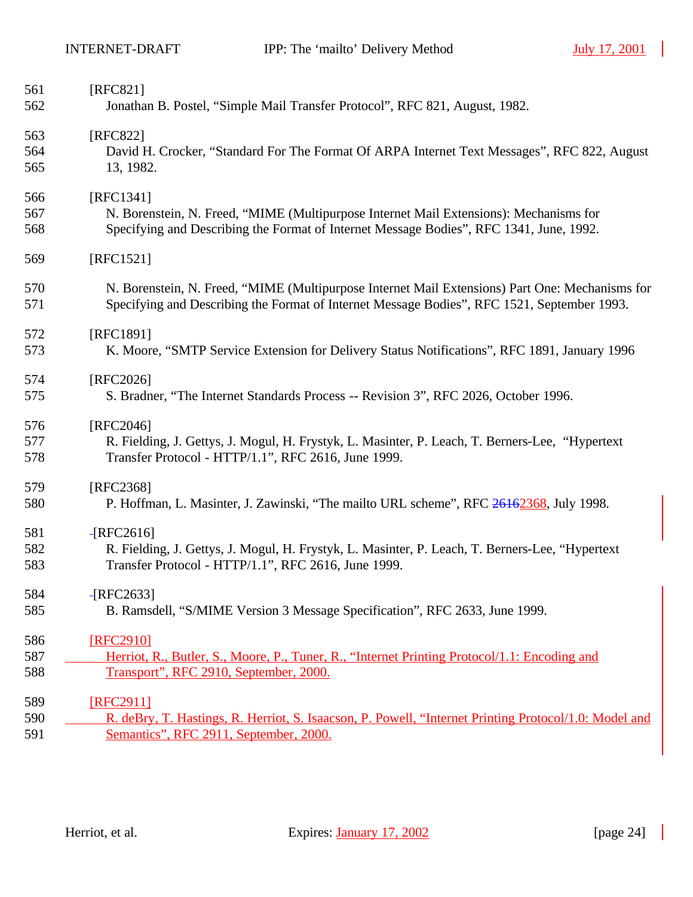$\blacksquare$ 

| 561<br>562 | [RFC821]<br>Jonathan B. Postel, "Simple Mail Transfer Protocol", RFC 821, August, 1982.                                                                 |
|------------|---------------------------------------------------------------------------------------------------------------------------------------------------------|
| 563        | [RFC822]                                                                                                                                                |
| 564        | David H. Crocker, "Standard For The Format Of ARPA Internet Text Messages", RFC 822, August                                                             |
| 565        | 13, 1982.                                                                                                                                               |
| 566        | [RFC1341]                                                                                                                                               |
| 567        | N. Borenstein, N. Freed, "MIME (Multipurpose Internet Mail Extensions): Mechanisms for                                                                  |
| 568        | Specifying and Describing the Format of Internet Message Bodies", RFC 1341, June, 1992.                                                                 |
| 569        | [RFC1521]                                                                                                                                               |
| 570        | N. Borenstein, N. Freed, "MIME (Multipurpose Internet Mail Extensions) Part One: Mechanisms for                                                         |
| 571        | Specifying and Describing the Format of Internet Message Bodies", RFC 1521, September 1993.                                                             |
| 572        | [RFC1891]                                                                                                                                               |
| 573        | K. Moore, "SMTP Service Extension for Delivery Status Notifications", RFC 1891, January 1996                                                            |
| 574        | [RFC2026]                                                                                                                                               |
| 575        | S. Bradner, "The Internet Standards Process -- Revision 3", RFC 2026, October 1996.                                                                     |
| 576        | [RFC2046]                                                                                                                                               |
| 577<br>578 | R. Fielding, J. Gettys, J. Mogul, H. Frystyk, L. Masinter, P. Leach, T. Berners-Lee, "Hypertext"<br>Transfer Protocol - HTTP/1.1", RFC 2616, June 1999. |
| 579        | [RFC2368]                                                                                                                                               |
| 580        | P. Hoffman, L. Masinter, J. Zawinski, "The mailto URL scheme", RFC 26162368, July 1998.                                                                 |
| 581        | $-$ [RFC2616]                                                                                                                                           |
| 582        | R. Fielding, J. Gettys, J. Mogul, H. Frystyk, L. Masinter, P. Leach, T. Berners-Lee, "Hypertext                                                         |
| 583        | Transfer Protocol - HTTP/1.1", RFC 2616, June 1999.                                                                                                     |
| 584        | $-$ [RFC2633]                                                                                                                                           |
| 585        | B. Ramsdell, "S/MIME Version 3 Message Specification", RFC 2633, June 1999.                                                                             |
| 586        | [RFC2910]                                                                                                                                               |
| 587        | Herriot, R., Butler, S., Moore, P., Tuner, R., "Internet Printing Protocol/1.1: Encoding and                                                            |
| 588        | Transport", RFC 2910, September, 2000.                                                                                                                  |
| 589        | [RFC2911]                                                                                                                                               |
| 590        | R. deBry, T. Hastings, R. Herriot, S. Isaacson, P. Powell, "Internet Printing Protocol/1.0: Model and                                                   |
| 591        | Semantics", RFC 2911, September, 2000.                                                                                                                  |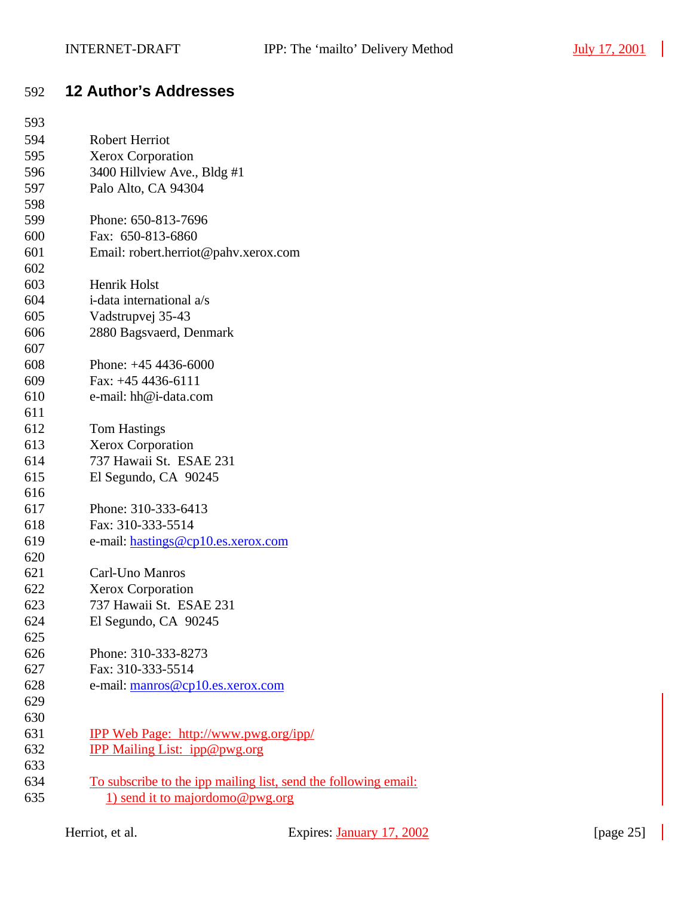$\blacksquare$ 

# **12 Author's Addresses**

| 593<br>594 | <b>Robert Herriot</b>                                           |
|------------|-----------------------------------------------------------------|
| 595        |                                                                 |
| 596        | <b>Xerox Corporation</b><br>3400 Hillview Ave., Bldg #1         |
| 597        |                                                                 |
|            | Palo Alto, CA 94304                                             |
| 598        |                                                                 |
| 599        | Phone: 650-813-7696                                             |
| 600        | Fax: 650-813-6860                                               |
| 601        | Email: robert.herriot@pahv.xerox.com                            |
| 602        | Henrik Holst                                                    |
| 603        | i-data international a/s                                        |
| 604        |                                                                 |
| 605        | Vadstrupvej 35-43                                               |
| 606        | 2880 Bagsvaerd, Denmark                                         |
| 607<br>608 | Phone: $+454436-6000$                                           |
|            | Fax: $+45$ 4436-6111                                            |
| 609        |                                                                 |
| 610        | e-mail: hh@i-data.com                                           |
| 611        |                                                                 |
| 612<br>613 | <b>Tom Hastings</b>                                             |
| 614        | <b>Xerox Corporation</b><br>737 Hawaii St. ESAE 231             |
| 615        |                                                                 |
| 616        | El Segundo, CA 90245                                            |
| 617        | Phone: 310-333-6413                                             |
| 618        | Fax: 310-333-5514                                               |
| 619        | e-mail: hastings@cp10.es.xerox.com                              |
| 620        |                                                                 |
| 621        | Carl-Uno Manros                                                 |
| 622        | <b>Xerox Corporation</b>                                        |
| 623        | 737 Hawaii St. ESAE 231                                         |
| 624        | El Segundo, CA 90245                                            |
| 625        |                                                                 |
| 626        | Phone: 310-333-8273                                             |
| 627        | Fax: 310-333-5514                                               |
| 628        | e-mail: manros@cp10.es.xerox.com                                |
| 629        |                                                                 |
| 630        |                                                                 |
| 631        | <b>IPP Web Page: http://www.pwg.org/ipp/</b>                    |
| 632        | <b>IPP Mailing List: ipp@pwg.org</b>                            |
| 633        |                                                                 |
| 634        | To subscribe to the ipp mailing list, send the following email: |
| 635        | 1) send it to majordomo@pwg.org                                 |
|            |                                                                 |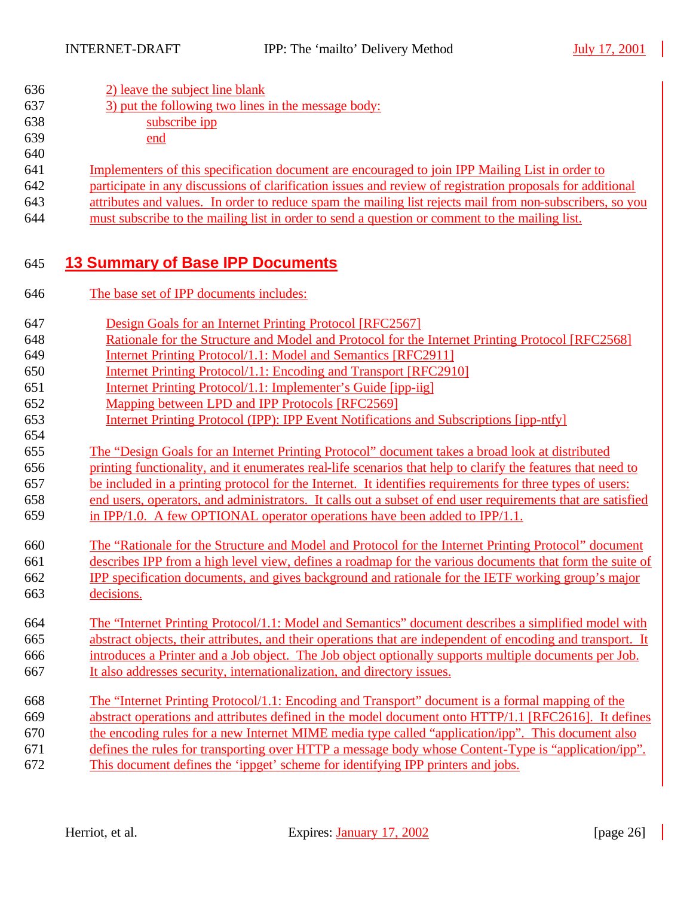| 636<br>637<br>638<br>639<br>640 | 2) leave the subject line blank<br>3) put the following two lines in the message body:<br>subscribe ipp<br>end |
|---------------------------------|----------------------------------------------------------------------------------------------------------------|
| 641                             | Implementers of this specification document are encouraged to join IPP Mailing List in order to                |
| 642                             | participate in any discussions of clarification issues and review of registration proposals for additional     |
| 643                             | attributes and values. In order to reduce spam the mailing list rejects mail from non-subscribers, so you      |
| 644                             | must subscribe to the mailing list in order to send a question or comment to the mailing list.                 |
| 645                             | <b>13 Summary of Base IPP Documents</b>                                                                        |
| 646                             | The base set of IPP documents includes:                                                                        |

- Design Goals for an Internet Printing Protocol [RFC2567]
- Rationale for the Structure and Model and Protocol for the Internet Printing Protocol [RFC2568]
- Internet Printing Protocol/1.1: Model and Semantics [RFC2911]
- Internet Printing Protocol/1.1: Encoding and Transport [RFC2910]
- Internet Printing Protocol/1.1: Implementer's Guide [ipp-iig]
- Mapping between LPD and IPP Protocols [RFC2569]
- Internet Printing Protocol (IPP): IPP Event Notifications and Subscriptions [ipp-ntfy]
- The "Design Goals for an Internet Printing Protocol" document takes a broad look at distributed
- printing functionality, and it enumerates real-life scenarios that help to clarify the features that need to be included in a printing protocol for the Internet. It identifies requirements for three types of users:
- end users, operators, and administrators. It calls out a subset of end user requirements that are satisfied
- in IPP/1.0. A few OPTIONAL operator operations have been added to IPP/1.1.
- The "Rationale for the Structure and Model and Protocol for the Internet Printing Protocol" document describes IPP from a high level view, defines a roadmap for the various documents that form the suite of IPP specification documents, and gives background and rationale for the IETF working group's major decisions.
- The "Internet Printing Protocol/1.1: Model and Semantics" document describes a simplified model with abstract objects, their attributes, and their operations that are independent of encoding and transport. It introduces a Printer and a Job object. The Job object optionally supports multiple documents per Job. It also addresses security, internationalization, and directory issues.
- The "Internet Printing Protocol/1.1: Encoding and Transport" document is a formal mapping of the abstract operations and attributes defined in the model document onto HTTP/1.1 [RFC2616]. It defines the encoding rules for a new Internet MIME media type called "application/ipp". This document also defines the rules for transporting over HTTP a message body whose Content-Type is "application/ipp". This document defines the 'ippget' scheme for identifying IPP printers and jobs.